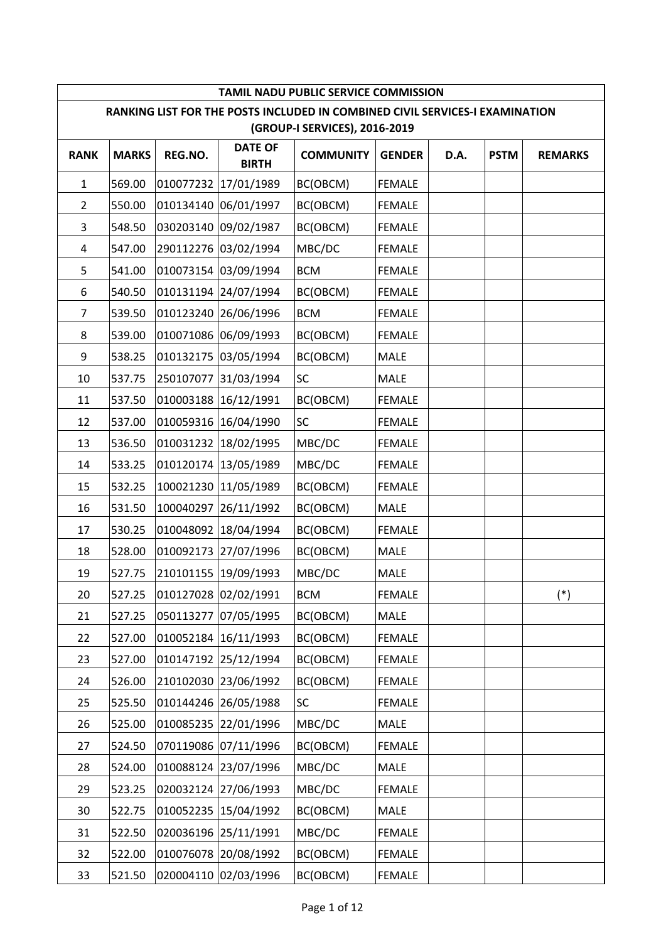|                |              |           |                                | <b>TAMIL NADU PUBLIC SERVICE COMMISSION</b>                                                                   |               |      |             |                |
|----------------|--------------|-----------|--------------------------------|---------------------------------------------------------------------------------------------------------------|---------------|------|-------------|----------------|
|                |              |           |                                | RANKING LIST FOR THE POSTS INCLUDED IN COMBINED CIVIL SERVICES-I EXAMINATION<br>(GROUP-I SERVICES), 2016-2019 |               |      |             |                |
| <b>RANK</b>    | <b>MARKS</b> | REG.NO.   | <b>DATE OF</b><br><b>BIRTH</b> | <b>COMMUNITY</b>                                                                                              | <b>GENDER</b> | D.A. | <b>PSTM</b> | <b>REMARKS</b> |
| $\mathbf{1}$   | 569.00       | 010077232 | 17/01/1989                     | BC(OBCM)                                                                                                      | <b>FEMALE</b> |      |             |                |
| $\overline{2}$ | 550.00       |           | 010134140 06/01/1997           | BC(OBCM)                                                                                                      | <b>FEMALE</b> |      |             |                |
| 3              | 548.50       |           | 030203140 09/02/1987           | BC(OBCM)                                                                                                      | <b>FEMALE</b> |      |             |                |
| 4              | 547.00       |           | 290112276 03/02/1994           | MBC/DC                                                                                                        | <b>FEMALE</b> |      |             |                |
| 5              | 541.00       |           | 010073154 03/09/1994           | <b>BCM</b>                                                                                                    | <b>FEMALE</b> |      |             |                |
| 6              | 540.50       |           | 010131194 24/07/1994           | BC(OBCM)                                                                                                      | <b>FEMALE</b> |      |             |                |
| 7              | 539.50       |           | 010123240 26/06/1996           | <b>BCM</b>                                                                                                    | <b>FEMALE</b> |      |             |                |
| 8              | 539.00       |           | 010071086 06/09/1993           | BC(OBCM)                                                                                                      | <b>FEMALE</b> |      |             |                |
| 9              | 538.25       |           | 010132175 03/05/1994           | BC(OBCM)                                                                                                      | MALE          |      |             |                |
| 10             | 537.75       |           | 250107077 31/03/1994           | <b>SC</b>                                                                                                     | MALE          |      |             |                |
| 11             | 537.50       |           | 010003188 16/12/1991           | BC(OBCM)                                                                                                      | <b>FEMALE</b> |      |             |                |
| 12             | 537.00       |           | 010059316 16/04/1990           | <b>SC</b>                                                                                                     | <b>FEMALE</b> |      |             |                |
| 13             | 536.50       |           | 010031232 18/02/1995           | MBC/DC                                                                                                        | <b>FEMALE</b> |      |             |                |
| 14             | 533.25       |           | 010120174 13/05/1989           | MBC/DC                                                                                                        | <b>FEMALE</b> |      |             |                |
| 15             | 532.25       |           | 100021230 11/05/1989           | BC(OBCM)                                                                                                      | <b>FEMALE</b> |      |             |                |
| 16             | 531.50       |           | 100040297 26/11/1992           | BC(OBCM)                                                                                                      | MALE          |      |             |                |
| 17             | 530.25       |           | 010048092 18/04/1994           | BC(OBCM)                                                                                                      | <b>FEMALE</b> |      |             |                |
| 18             | 528.00       |           | 010092173 27/07/1996           | BC(OBCM)                                                                                                      | MALE          |      |             |                |
| 19             | 527.75       |           | 210101155 19/09/1993           | MBC/DC                                                                                                        | MALE          |      |             |                |
| 20             | 527.25       |           | 010127028 02/02/1991           | <b>BCM</b>                                                                                                    | <b>FEMALE</b> |      |             | $(*)$          |
| 21             | 527.25       |           | 050113277 07/05/1995           | BC(OBCM)                                                                                                      | MALE          |      |             |                |
| 22             | 527.00       |           | 010052184 16/11/1993           | BC(OBCM)                                                                                                      | <b>FEMALE</b> |      |             |                |
| 23             | 527.00       |           | 010147192 25/12/1994           | BC(OBCM)                                                                                                      | <b>FEMALE</b> |      |             |                |
| 24             | 526.00       |           | 210102030 23/06/1992           | BC(OBCM)                                                                                                      | <b>FEMALE</b> |      |             |                |
| 25             | 525.50       |           | 010144246 26/05/1988           | SC                                                                                                            | <b>FEMALE</b> |      |             |                |
| 26             | 525.00       |           | 010085235 22/01/1996           | MBC/DC                                                                                                        | MALE          |      |             |                |
| 27             | 524.50       |           | 070119086 07/11/1996           | BC(OBCM)                                                                                                      | <b>FEMALE</b> |      |             |                |
| 28             | 524.00       |           | 010088124 23/07/1996           | MBC/DC                                                                                                        | MALE          |      |             |                |
| 29             | 523.25       |           | 020032124 27/06/1993           | MBC/DC                                                                                                        | <b>FEMALE</b> |      |             |                |
| 30             | 522.75       |           | 010052235 15/04/1992           | BC(OBCM)                                                                                                      | MALE          |      |             |                |
| 31             | 522.50       |           | 020036196 25/11/1991           | MBC/DC                                                                                                        | <b>FEMALE</b> |      |             |                |
| 32             | 522.00       |           | 010076078 20/08/1992           | BC(OBCM)                                                                                                      | <b>FEMALE</b> |      |             |                |
| 33             | 521.50       |           | 020004110 02/03/1996           | BC(OBCM)                                                                                                      | <b>FEMALE</b> |      |             |                |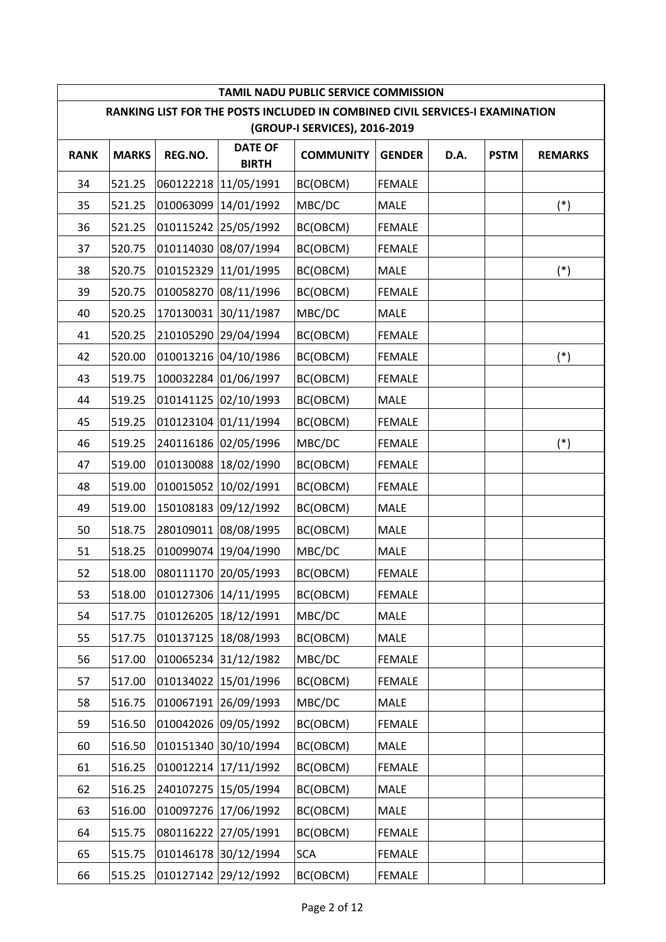|             |              |           |                                | <b>TAMIL NADU PUBLIC SERVICE COMMISSION</b>                                                                   |               |      |             |                |
|-------------|--------------|-----------|--------------------------------|---------------------------------------------------------------------------------------------------------------|---------------|------|-------------|----------------|
|             |              |           |                                | RANKING LIST FOR THE POSTS INCLUDED IN COMBINED CIVIL SERVICES-I EXAMINATION<br>(GROUP-I SERVICES), 2016-2019 |               |      |             |                |
| <b>RANK</b> | <b>MARKS</b> | REG.NO.   | <b>DATE OF</b><br><b>BIRTH</b> | <b>COMMUNITY</b>                                                                                              | <b>GENDER</b> | D.A. | <b>PSTM</b> | <b>REMARKS</b> |
| 34          | 521.25       | 060122218 | 11/05/1991                     | BC(OBCM)                                                                                                      | <b>FEMALE</b> |      |             |                |
| 35          | 521.25       | 010063099 | 14/01/1992                     | MBC/DC                                                                                                        | <b>MALE</b>   |      |             | $(*)$          |
| 36          | 521.25       |           | 010115242 25/05/1992           | BC(OBCM)                                                                                                      | <b>FEMALE</b> |      |             |                |
| 37          | 520.75       |           | 010114030 08/07/1994           | BC(OBCM)                                                                                                      | <b>FEMALE</b> |      |             |                |
| 38          | 520.75       |           | 010152329 11/01/1995           | BC(OBCM)                                                                                                      | MALE          |      |             | $(*)$          |
| 39          | 520.75       |           | 010058270 08/11/1996           | BC(OBCM)                                                                                                      | <b>FEMALE</b> |      |             |                |
| 40          | 520.25       |           | 170130031 30/11/1987           | MBC/DC                                                                                                        | MALE          |      |             |                |
| 41          | 520.25       |           | 210105290 29/04/1994           | BC(OBCM)                                                                                                      | <b>FEMALE</b> |      |             |                |
| 42          | 520.00       |           | 010013216 04/10/1986           | BC(OBCM)                                                                                                      | <b>FEMALE</b> |      |             | $(*)$          |
| 43          | 519.75       |           | 100032284 01/06/1997           | BC(OBCM)                                                                                                      | <b>FEMALE</b> |      |             |                |
| 44          | 519.25       |           | 010141125 02/10/1993           | BC(OBCM)                                                                                                      | <b>MALE</b>   |      |             |                |
| 45          | 519.25       |           | 010123104 01/11/1994           | BC(OBCM)                                                                                                      | <b>FEMALE</b> |      |             |                |
| 46          | 519.25       |           | 240116186 02/05/1996           | MBC/DC                                                                                                        | <b>FEMALE</b> |      |             | $(*)$          |
| 47          | 519.00       |           | 010130088 18/02/1990           | BC(OBCM)                                                                                                      | <b>FEMALE</b> |      |             |                |
| 48          | 519.00       |           | 010015052 10/02/1991           | BC(OBCM)                                                                                                      | <b>FEMALE</b> |      |             |                |
| 49          | 519.00       |           | 150108183 09/12/1992           | BC(OBCM)                                                                                                      | <b>MALE</b>   |      |             |                |
| 50          | 518.75       |           | 280109011 08/08/1995           | BC(OBCM)                                                                                                      | MALE          |      |             |                |
| 51          | 518.25       |           | 010099074 19/04/1990           | MBC/DC                                                                                                        | MALE          |      |             |                |
| 52          | 518.00       |           | 080111170 20/05/1993           | BC(OBCM)                                                                                                      | <b>FEMALE</b> |      |             |                |
| 53          | 518.00       |           | 010127306 14/11/1995           | BC(OBCM)                                                                                                      | <b>FEMALE</b> |      |             |                |
| 54          | 517.75       |           | 010126205 18/12/1991           | MBC/DC                                                                                                        | MALE          |      |             |                |
| 55          | 517.75       |           | 010137125 18/08/1993           | BC(OBCM)                                                                                                      | MALE          |      |             |                |
| 56          | 517.00       |           | 010065234 31/12/1982           | MBC/DC                                                                                                        | <b>FEMALE</b> |      |             |                |
| 57          | 517.00       |           | 010134022 15/01/1996           | BC(OBCM)                                                                                                      | <b>FEMALE</b> |      |             |                |
| 58          | 516.75       |           | 010067191 26/09/1993           | MBC/DC                                                                                                        | MALE          |      |             |                |
| 59          | 516.50       |           | 010042026 09/05/1992           | BC(OBCM)                                                                                                      | <b>FEMALE</b> |      |             |                |
| 60          | 516.50       |           | 010151340 30/10/1994           | BC(OBCM)                                                                                                      | MALE          |      |             |                |
| 61          | 516.25       |           | 010012214 17/11/1992           | BC(OBCM)                                                                                                      | <b>FEMALE</b> |      |             |                |
| 62          | 516.25       |           | 240107275 15/05/1994           | BC(OBCM)                                                                                                      | MALE          |      |             |                |
| 63          | 516.00       |           | 010097276 17/06/1992           | BC(OBCM)                                                                                                      | MALE          |      |             |                |
| 64          | 515.75       |           | 080116222 27/05/1991           | BC(OBCM)                                                                                                      | <b>FEMALE</b> |      |             |                |
| 65          | 515.75       |           | 010146178 30/12/1994           | <b>SCA</b>                                                                                                    | <b>FEMALE</b> |      |             |                |
| 66          | 515.25       |           | 010127142 29/12/1992           | BC(OBCM)                                                                                                      | <b>FEMALE</b> |      |             |                |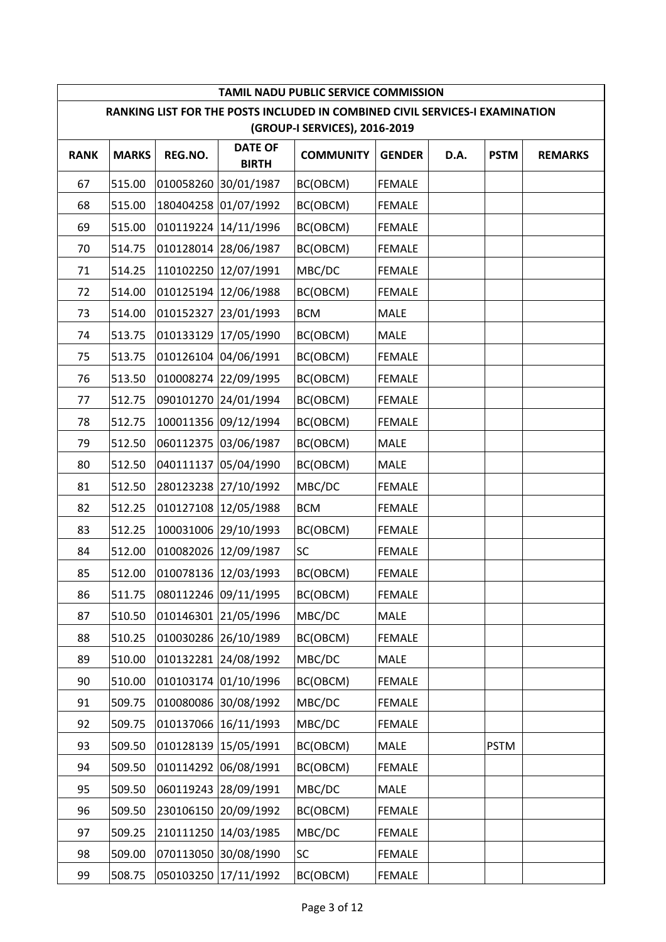|             |              |           |                                | <b>TAMIL NADU PUBLIC SERVICE COMMISSION</b>                                                                   |               |      |             |                |
|-------------|--------------|-----------|--------------------------------|---------------------------------------------------------------------------------------------------------------|---------------|------|-------------|----------------|
|             |              |           |                                | RANKING LIST FOR THE POSTS INCLUDED IN COMBINED CIVIL SERVICES-I EXAMINATION<br>(GROUP-I SERVICES), 2016-2019 |               |      |             |                |
| <b>RANK</b> | <b>MARKS</b> | REG.NO.   | <b>DATE OF</b><br><b>BIRTH</b> | <b>COMMUNITY</b>                                                                                              | <b>GENDER</b> | D.A. | <b>PSTM</b> | <b>REMARKS</b> |
| 67          | 515.00       |           | 010058260 30/01/1987           | BC(OBCM)                                                                                                      | <b>FEMALE</b> |      |             |                |
| 68          | 515.00       |           | 180404258 01/07/1992           | BC(OBCM)                                                                                                      | <b>FEMALE</b> |      |             |                |
| 69          | 515.00       |           | 010119224 14/11/1996           | BC(OBCM)                                                                                                      | <b>FEMALE</b> |      |             |                |
| 70          | 514.75       |           | 010128014 28/06/1987           | BC(OBCM)                                                                                                      | <b>FEMALE</b> |      |             |                |
| 71          | 514.25       |           | 110102250 12/07/1991           | MBC/DC                                                                                                        | <b>FEMALE</b> |      |             |                |
| 72          | 514.00       |           | 010125194 12/06/1988           | BC(OBCM)                                                                                                      | <b>FEMALE</b> |      |             |                |
| 73          | 514.00       |           | 010152327 23/01/1993           | <b>BCM</b>                                                                                                    | <b>MALE</b>   |      |             |                |
| 74          | 513.75       |           | 010133129 17/05/1990           | BC(OBCM)                                                                                                      | <b>MALE</b>   |      |             |                |
| 75          | 513.75       |           | 010126104 04/06/1991           | BC(OBCM)                                                                                                      | <b>FEMALE</b> |      |             |                |
| 76          | 513.50       |           | 010008274 22/09/1995           | BC(OBCM)                                                                                                      | <b>FEMALE</b> |      |             |                |
| 77          | 512.75       |           | 090101270 24/01/1994           | BC(OBCM)                                                                                                      | <b>FEMALE</b> |      |             |                |
| 78          | 512.75       |           | 100011356 09/12/1994           | BC(OBCM)                                                                                                      | <b>FEMALE</b> |      |             |                |
| 79          | 512.50       |           | 060112375 03/06/1987           | BC(OBCM)                                                                                                      | MALE          |      |             |                |
| 80          | 512.50       |           | 040111137 05/04/1990           | BC(OBCM)                                                                                                      | MALE          |      |             |                |
| 81          | 512.50       |           | 280123238 27/10/1992           | MBC/DC                                                                                                        | <b>FEMALE</b> |      |             |                |
| 82          | 512.25       |           | 010127108 12/05/1988           | <b>BCM</b>                                                                                                    | <b>FEMALE</b> |      |             |                |
| 83          | 512.25       |           | 100031006 29/10/1993           | BC(OBCM)                                                                                                      | <b>FEMALE</b> |      |             |                |
| 84          | 512.00       |           | 010082026 12/09/1987           | <b>SC</b>                                                                                                     | <b>FEMALE</b> |      |             |                |
| 85          | 512.00       |           | 010078136 12/03/1993           | BC(OBCM)                                                                                                      | <b>FEMALE</b> |      |             |                |
| 86          | 511.75       |           | 080112246 09/11/1995           | BC(OBCM)                                                                                                      | <b>FEMALE</b> |      |             |                |
| 87          | 510.50       |           | 010146301 21/05/1996           | MBC/DC                                                                                                        | MALE          |      |             |                |
| 88          | 510.25       |           | 010030286 26/10/1989           | BC(OBCM)                                                                                                      | <b>FEMALE</b> |      |             |                |
| 89          | 510.00       | 010132281 | 24/08/1992                     | MBC/DC                                                                                                        | MALE          |      |             |                |
| 90          | 510.00       |           | 010103174 01/10/1996           | BC(OBCM)                                                                                                      | <b>FEMALE</b> |      |             |                |
| 91          | 509.75       |           | 010080086 30/08/1992           | MBC/DC                                                                                                        | <b>FEMALE</b> |      |             |                |
| 92          | 509.75       |           | 010137066 16/11/1993           | MBC/DC                                                                                                        | <b>FEMALE</b> |      |             |                |
| 93          | 509.50       |           | 010128139 15/05/1991           | BC(OBCM)                                                                                                      | MALE          |      | <b>PSTM</b> |                |
| 94          | 509.50       |           | 010114292 06/08/1991           | BC(OBCM)                                                                                                      | <b>FEMALE</b> |      |             |                |
| 95          | 509.50       |           | 060119243 28/09/1991           | MBC/DC                                                                                                        | MALE          |      |             |                |
| 96          | 509.50       |           | 230106150 20/09/1992           | BC(OBCM)                                                                                                      | <b>FEMALE</b> |      |             |                |
| 97          | 509.25       |           | 210111250 14/03/1985           | MBC/DC                                                                                                        | <b>FEMALE</b> |      |             |                |
| 98          | 509.00       |           | 070113050 30/08/1990           | <b>SC</b>                                                                                                     | <b>FEMALE</b> |      |             |                |
| 99          | 508.75       |           | 050103250 17/11/1992           | BC(OBCM)                                                                                                      | <b>FEMALE</b> |      |             |                |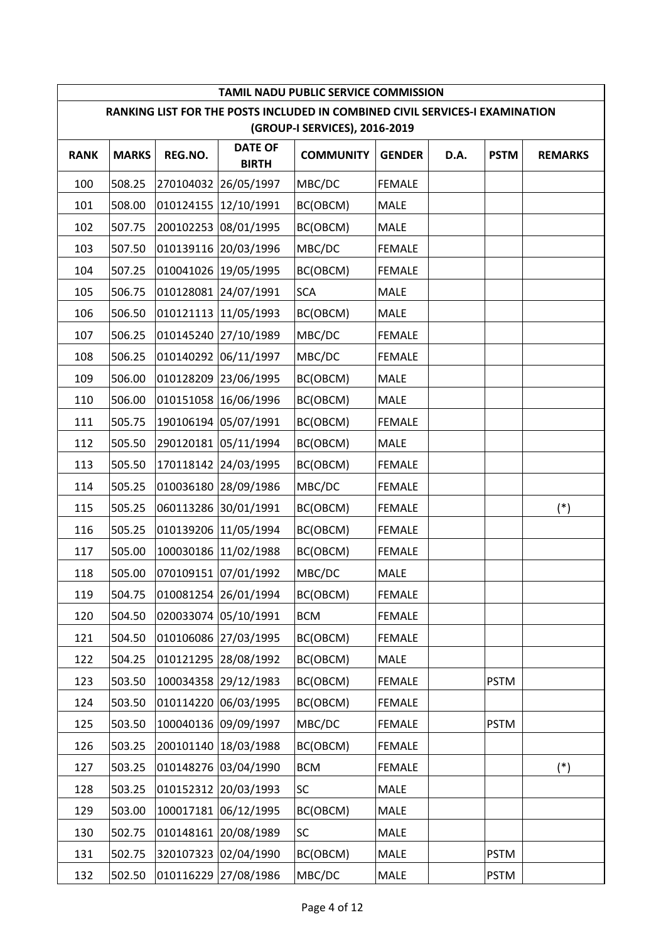|             | <b>TAMIL NADU PUBLIC SERVICE COMMISSION</b><br>RANKING LIST FOR THE POSTS INCLUDED IN COMBINED CIVIL SERVICES-I EXAMINATION |           |                                |                               |               |      |             |                |  |  |  |
|-------------|-----------------------------------------------------------------------------------------------------------------------------|-----------|--------------------------------|-------------------------------|---------------|------|-------------|----------------|--|--|--|
|             |                                                                                                                             |           |                                | (GROUP-I SERVICES), 2016-2019 |               |      |             |                |  |  |  |
| <b>RANK</b> | <b>MARKS</b>                                                                                                                | REG.NO.   | <b>DATE OF</b><br><b>BIRTH</b> | <b>COMMUNITY</b>              | <b>GENDER</b> | D.A. | <b>PSTM</b> | <b>REMARKS</b> |  |  |  |
| 100         | 508.25                                                                                                                      | 270104032 | 26/05/1997                     | MBC/DC                        | <b>FEMALE</b> |      |             |                |  |  |  |
| 101         | 508.00                                                                                                                      |           | 010124155 12/10/1991           | BC(OBCM)                      | <b>MALE</b>   |      |             |                |  |  |  |
| 102         | 507.75                                                                                                                      |           | 200102253 08/01/1995           | BC(OBCM)                      | <b>MALE</b>   |      |             |                |  |  |  |
| 103         | 507.50                                                                                                                      |           | 010139116 20/03/1996           | MBC/DC                        | <b>FEMALE</b> |      |             |                |  |  |  |
| 104         | 507.25                                                                                                                      |           | 010041026 19/05/1995           | BC(OBCM)                      | <b>FEMALE</b> |      |             |                |  |  |  |
| 105         | 506.75                                                                                                                      |           | 010128081 24/07/1991           | <b>SCA</b>                    | <b>MALE</b>   |      |             |                |  |  |  |
| 106         | 506.50                                                                                                                      |           | 010121113 11/05/1993           | BC(OBCM)                      | MALE          |      |             |                |  |  |  |
| 107         | 506.25                                                                                                                      |           | 010145240 27/10/1989           | MBC/DC                        | <b>FEMALE</b> |      |             |                |  |  |  |
| 108         | 506.25                                                                                                                      |           | 010140292 06/11/1997           | MBC/DC                        | <b>FEMALE</b> |      |             |                |  |  |  |
| 109         | 506.00                                                                                                                      |           | 010128209 23/06/1995           | BC(OBCM)                      | <b>MALE</b>   |      |             |                |  |  |  |
| 110         | 506.00                                                                                                                      |           | 010151058 16/06/1996           | BC(OBCM)                      | <b>MALE</b>   |      |             |                |  |  |  |
| 111         | 505.75                                                                                                                      |           | 190106194 05/07/1991           | BC(OBCM)                      | <b>FEMALE</b> |      |             |                |  |  |  |
| 112         | 505.50                                                                                                                      |           | 290120181 05/11/1994           | BC(OBCM)                      | <b>MALE</b>   |      |             |                |  |  |  |
| 113         | 505.50                                                                                                                      |           | 170118142 24/03/1995           | BC(OBCM)                      | <b>FEMALE</b> |      |             |                |  |  |  |
| 114         | 505.25                                                                                                                      |           | 010036180 28/09/1986           | MBC/DC                        | <b>FEMALE</b> |      |             |                |  |  |  |
| 115         | 505.25                                                                                                                      |           | 060113286 30/01/1991           | BC(OBCM)                      | <b>FEMALE</b> |      |             | $(*)$          |  |  |  |
| 116         | 505.25                                                                                                                      |           | 010139206 11/05/1994           | BC(OBCM)                      | <b>FEMALE</b> |      |             |                |  |  |  |
| 117         | 505.00                                                                                                                      |           | 100030186 11/02/1988           | BC(OBCM)                      | <b>FEMALE</b> |      |             |                |  |  |  |
| 118         | 505.00                                                                                                                      |           | 070109151 07/01/1992           | MBC/DC                        | MALE          |      |             |                |  |  |  |
| 119         | 504.75                                                                                                                      |           | 010081254 26/01/1994           | BC(OBCM)                      | <b>FEMALE</b> |      |             |                |  |  |  |
| 120         | 504.50                                                                                                                      |           | 020033074 05/10/1991           | <b>BCM</b>                    | <b>FEMALE</b> |      |             |                |  |  |  |
| 121         | 504.50                                                                                                                      |           | 010106086 27/03/1995           | BC(OBCM)                      | <b>FEMALE</b> |      |             |                |  |  |  |
| 122         | 504.25                                                                                                                      | 010121295 | 28/08/1992                     | BC(OBCM)                      | MALE          |      |             |                |  |  |  |
| 123         | 503.50                                                                                                                      |           | 100034358 29/12/1983           | BC(OBCM)                      | <b>FEMALE</b> |      | <b>PSTM</b> |                |  |  |  |
| 124         | 503.50                                                                                                                      |           | 010114220 06/03/1995           | BC(OBCM)                      | <b>FEMALE</b> |      |             |                |  |  |  |
| 125         | 503.50                                                                                                                      |           | 100040136 09/09/1997           | MBC/DC                        | <b>FEMALE</b> |      | <b>PSTM</b> |                |  |  |  |
| 126         | 503.25                                                                                                                      | 200101140 | 18/03/1988                     | BC(OBCM)                      | <b>FEMALE</b> |      |             |                |  |  |  |
| 127         | 503.25                                                                                                                      |           | 010148276 03/04/1990           | <b>BCM</b>                    | <b>FEMALE</b> |      |             | $(*)$          |  |  |  |
| 128         | 503.25                                                                                                                      |           | 010152312 20/03/1993           | SC                            | MALE          |      |             |                |  |  |  |
| 129         | 503.00                                                                                                                      |           | 100017181 06/12/1995           | BC(OBCM)                      | MALE          |      |             |                |  |  |  |
| 130         | 502.75                                                                                                                      |           | 010148161 20/08/1989           | <b>SC</b>                     | MALE          |      |             |                |  |  |  |
| 131         | 502.75                                                                                                                      |           | 320107323 02/04/1990           | BC(OBCM)                      | MALE          |      | <b>PSTM</b> |                |  |  |  |
| 132         | 502.50                                                                                                                      |           | 010116229 27/08/1986           | MBC/DC                        | MALE          |      | <b>PSTM</b> |                |  |  |  |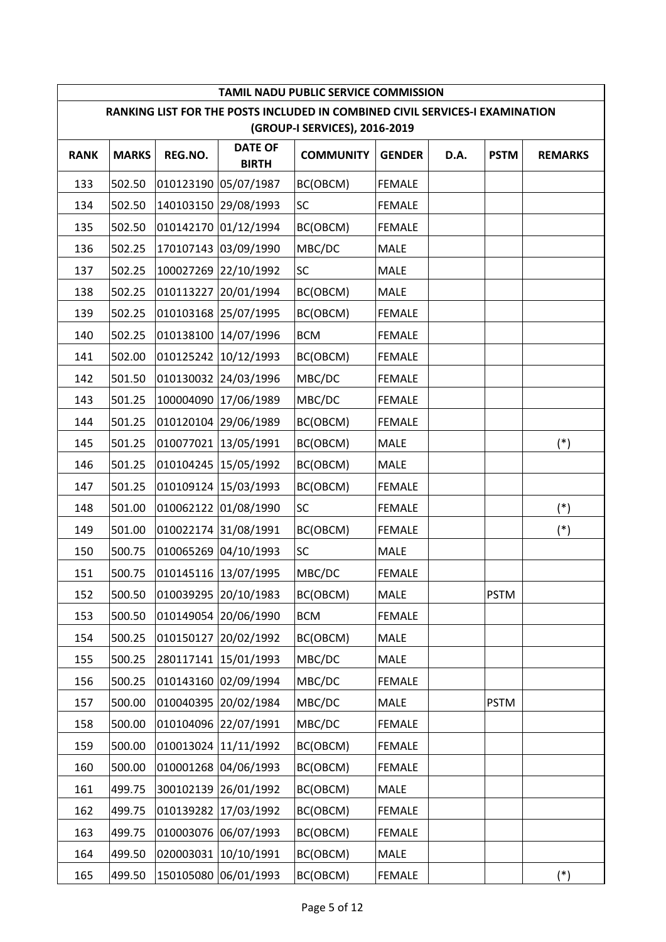|             |              |           |                                | TAMIL NADU PUBLIC SERVICE COMMISSION                                                                          |               |      |             |                |
|-------------|--------------|-----------|--------------------------------|---------------------------------------------------------------------------------------------------------------|---------------|------|-------------|----------------|
|             |              |           |                                | RANKING LIST FOR THE POSTS INCLUDED IN COMBINED CIVIL SERVICES-I EXAMINATION<br>(GROUP-I SERVICES), 2016-2019 |               |      |             |                |
| <b>RANK</b> | <b>MARKS</b> | REG.NO.   | <b>DATE OF</b><br><b>BIRTH</b> | <b>COMMUNITY</b>                                                                                              | <b>GENDER</b> | D.A. | <b>PSTM</b> | <b>REMARKS</b> |
| 133         | 502.50       | 010123190 | 05/07/1987                     | BC(OBCM)                                                                                                      | <b>FEMALE</b> |      |             |                |
| 134         | 502.50       |           | 140103150 29/08/1993           | <b>SC</b>                                                                                                     | <b>FEMALE</b> |      |             |                |
| 135         | 502.50       |           | 010142170 01/12/1994           | BC(OBCM)                                                                                                      | <b>FEMALE</b> |      |             |                |
| 136         | 502.25       |           | 170107143 03/09/1990           | MBC/DC                                                                                                        | MALE          |      |             |                |
| 137         | 502.25       |           | 100027269 22/10/1992           | <b>SC</b>                                                                                                     | <b>MALE</b>   |      |             |                |
| 138         | 502.25       |           | 010113227 20/01/1994           | BC(OBCM)                                                                                                      | <b>MALE</b>   |      |             |                |
| 139         | 502.25       |           | 010103168 25/07/1995           | BC(OBCM)                                                                                                      | <b>FEMALE</b> |      |             |                |
| 140         | 502.25       |           | 010138100 14/07/1996           | <b>BCM</b>                                                                                                    | <b>FEMALE</b> |      |             |                |
| 141         | 502.00       | 010125242 | 10/12/1993                     | BC(OBCM)                                                                                                      | <b>FEMALE</b> |      |             |                |
| 142         | 501.50       |           | 010130032 24/03/1996           | MBC/DC                                                                                                        | <b>FEMALE</b> |      |             |                |
| 143         | 501.25       |           | 100004090 17/06/1989           | MBC/DC                                                                                                        | <b>FEMALE</b> |      |             |                |
| 144         | 501.25       |           | 010120104 29/06/1989           | BC(OBCM)                                                                                                      | <b>FEMALE</b> |      |             |                |
| 145         | 501.25       |           | 010077021 13/05/1991           | BC(OBCM)                                                                                                      | MALE          |      |             | $(*)$          |
| 146         | 501.25       | 010104245 | 15/05/1992                     | BC(OBCM)                                                                                                      | MALE          |      |             |                |
| 147         | 501.25       |           | 010109124 15/03/1993           | BC(OBCM)                                                                                                      | <b>FEMALE</b> |      |             |                |
| 148         | 501.00       |           | 010062122 01/08/1990           | SC                                                                                                            | <b>FEMALE</b> |      |             | $(*)$          |
| 149         | 501.00       |           | 010022174 31/08/1991           | BC(OBCM)                                                                                                      | <b>FEMALE</b> |      |             | $(*)$          |
| 150         | 500.75       |           | 010065269 04/10/1993           | <b>SC</b>                                                                                                     | <b>MALE</b>   |      |             |                |
| 151         | 500.75       |           | 010145116 13/07/1995           | MBC/DC                                                                                                        | <b>FEMALE</b> |      |             |                |
| 152         | 500.50       |           | 010039295 20/10/1983           | BC(OBCM)                                                                                                      | MALE          |      | <b>PSTM</b> |                |
| 153         | 500.50       |           | 010149054 20/06/1990           | <b>BCM</b>                                                                                                    | <b>FEMALE</b> |      |             |                |
| 154         | 500.25       |           | 010150127 20/02/1992           | BC(OBCM)                                                                                                      | MALE          |      |             |                |
| 155         | 500.25       | 280117141 | 15/01/1993                     | MBC/DC                                                                                                        | MALE          |      |             |                |
| 156         | 500.25       |           | 010143160 02/09/1994           | MBC/DC                                                                                                        | <b>FEMALE</b> |      |             |                |
| 157         | 500.00       |           | 010040395 20/02/1984           | MBC/DC                                                                                                        | MALE          |      | <b>PSTM</b> |                |
| 158         | 500.00       |           | 010104096 22/07/1991           | MBC/DC                                                                                                        | <b>FEMALE</b> |      |             |                |
| 159         | 500.00       | 010013024 | 11/11/1992                     | BC(OBCM)                                                                                                      | <b>FEMALE</b> |      |             |                |
| 160         | 500.00       |           | 010001268 04/06/1993           | BC(OBCM)                                                                                                      | <b>FEMALE</b> |      |             |                |
| 161         | 499.75       |           | 300102139 26/01/1992           | BC(OBCM)                                                                                                      | MALE          |      |             |                |
| 162         | 499.75       | 010139282 | 17/03/1992                     | BC(OBCM)                                                                                                      | <b>FEMALE</b> |      |             |                |
| 163         | 499.75       |           | 010003076 06/07/1993           | BC(OBCM)                                                                                                      | <b>FEMALE</b> |      |             |                |
| 164         | 499.50       | 020003031 | 10/10/1991                     | BC(OBCM)                                                                                                      | MALE          |      |             |                |
| 165         | 499.50       |           | 150105080 06/01/1993           | BC(OBCM)                                                                                                      | <b>FEMALE</b> |      |             | $(*)$          |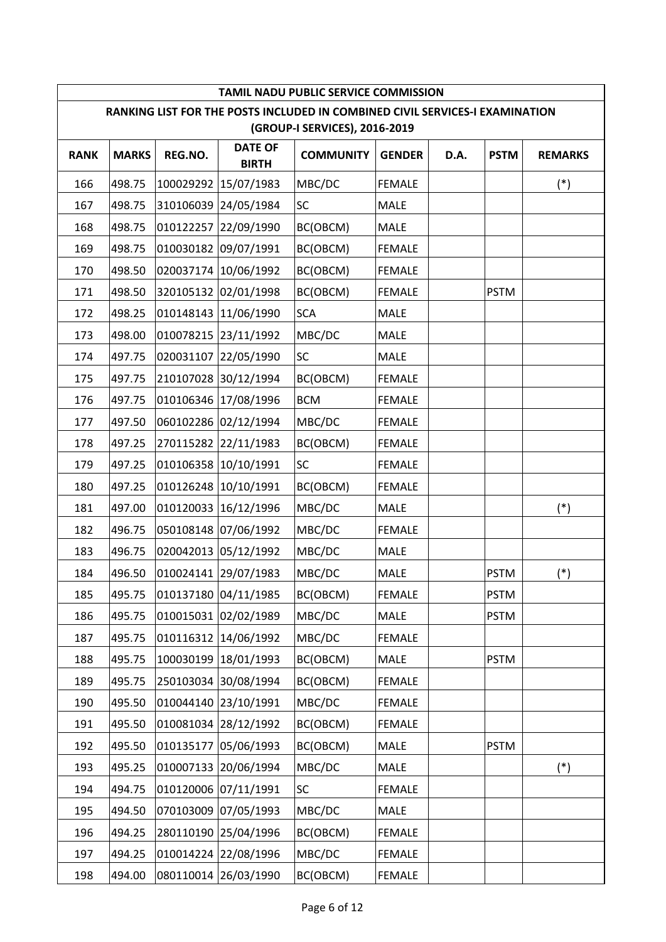| TAMIL NADU PUBLIC SERVICE COMMISSION<br>RANKING LIST FOR THE POSTS INCLUDED IN COMBINED CIVIL SERVICES-I EXAMINATION |              |           |                                |                               |               |      |             |                |  |  |
|----------------------------------------------------------------------------------------------------------------------|--------------|-----------|--------------------------------|-------------------------------|---------------|------|-------------|----------------|--|--|
|                                                                                                                      |              |           |                                | (GROUP-I SERVICES), 2016-2019 |               |      |             |                |  |  |
| <b>RANK</b>                                                                                                          | <b>MARKS</b> | REG.NO.   | <b>DATE OF</b><br><b>BIRTH</b> | <b>COMMUNITY</b>              | <b>GENDER</b> | D.A. | <b>PSTM</b> | <b>REMARKS</b> |  |  |
| 166                                                                                                                  | 498.75       | 100029292 | 15/07/1983                     | MBC/DC                        | <b>FEMALE</b> |      |             | $(*)$          |  |  |
| 167                                                                                                                  | 498.75       |           | 310106039 24/05/1984           | <b>SC</b>                     | <b>MALE</b>   |      |             |                |  |  |
| 168                                                                                                                  | 498.75       |           | 010122257 22/09/1990           | BC(OBCM)                      | <b>MALE</b>   |      |             |                |  |  |
| 169                                                                                                                  | 498.75       |           | 010030182 09/07/1991           | BC(OBCM)                      | <b>FEMALE</b> |      |             |                |  |  |
| 170                                                                                                                  | 498.50       |           | 020037174 10/06/1992           | BC(OBCM)                      | <b>FEMALE</b> |      |             |                |  |  |
| 171                                                                                                                  | 498.50       |           | 320105132 02/01/1998           | BC(OBCM)                      | <b>FEMALE</b> |      | <b>PSTM</b> |                |  |  |
| 172                                                                                                                  | 498.25       |           | 010148143 11/06/1990           | <b>SCA</b>                    | MALE          |      |             |                |  |  |
| 173                                                                                                                  | 498.00       |           | 010078215 23/11/1992           | MBC/DC                        | MALE          |      |             |                |  |  |
| 174                                                                                                                  | 497.75       | 020031107 | 22/05/1990                     | <b>SC</b>                     | <b>MALE</b>   |      |             |                |  |  |
| 175                                                                                                                  | 497.75       |           | 210107028 30/12/1994           | BC(OBCM)                      | <b>FEMALE</b> |      |             |                |  |  |
| 176                                                                                                                  | 497.75       |           | 010106346 17/08/1996           | <b>BCM</b>                    | <b>FEMALE</b> |      |             |                |  |  |
| 177                                                                                                                  | 497.50       |           | 060102286 02/12/1994           | MBC/DC                        | <b>FEMALE</b> |      |             |                |  |  |
| 178                                                                                                                  | 497.25       |           | 270115282 22/11/1983           | BC(OBCM)                      | <b>FEMALE</b> |      |             |                |  |  |
| 179                                                                                                                  | 497.25       | 010106358 | 10/10/1991                     | <b>SC</b>                     | <b>FEMALE</b> |      |             |                |  |  |
| 180                                                                                                                  | 497.25       |           | 010126248 10/10/1991           | BC(OBCM)                      | <b>FEMALE</b> |      |             |                |  |  |
| 181                                                                                                                  | 497.00       |           | 010120033 16/12/1996           | MBC/DC                        | <b>MALE</b>   |      |             | $(*)$          |  |  |
| 182                                                                                                                  | 496.75       |           | 050108148 07/06/1992           | MBC/DC                        | <b>FEMALE</b> |      |             |                |  |  |
| 183                                                                                                                  | 496.75       |           | 020042013 05/12/1992           | MBC/DC                        | MALE          |      |             |                |  |  |
| 184                                                                                                                  | 496.50       |           | 010024141 29/07/1983           | MBC/DC                        | <b>MALE</b>   |      | <b>PSTM</b> | $(*)$          |  |  |
| 185                                                                                                                  | 495.75       |           | 010137180 04/11/1985           | BC(OBCM)                      | <b>FEMALE</b> |      | <b>PSTM</b> |                |  |  |
| 186                                                                                                                  | 495.75       |           | 010015031 02/02/1989           | MBC/DC                        | MALE          |      | <b>PSTM</b> |                |  |  |
| 187                                                                                                                  | 495.75       |           | 010116312 14/06/1992           | MBC/DC                        | <b>FEMALE</b> |      |             |                |  |  |
| 188                                                                                                                  | 495.75       | 100030199 | 18/01/1993                     | BC(OBCM)                      | MALE          |      | <b>PSTM</b> |                |  |  |
| 189                                                                                                                  | 495.75       |           | 250103034 30/08/1994           | BC(OBCM)                      | <b>FEMALE</b> |      |             |                |  |  |
| 190                                                                                                                  | 495.50       |           | 010044140 23/10/1991           | MBC/DC                        | <b>FEMALE</b> |      |             |                |  |  |
| 191                                                                                                                  | 495.50       | 010081034 | 28/12/1992                     | BC(OBCM)                      | <b>FEMALE</b> |      |             |                |  |  |
| 192                                                                                                                  | 495.50       | 010135177 | 05/06/1993                     | BC(OBCM)                      | MALE          |      | <b>PSTM</b> |                |  |  |
| 193                                                                                                                  | 495.25       |           | 010007133 20/06/1994           | MBC/DC                        | MALE          |      |             | $(*)$          |  |  |
| 194                                                                                                                  | 494.75       |           | 010120006 07/11/1991           | SC                            | <b>FEMALE</b> |      |             |                |  |  |
| 195                                                                                                                  | 494.50       |           | 070103009 07/05/1993           | MBC/DC                        | MALE          |      |             |                |  |  |
| 196                                                                                                                  | 494.25       |           | 280110190 25/04/1996           | BC(OBCM)                      | <b>FEMALE</b> |      |             |                |  |  |
| 197                                                                                                                  | 494.25       |           | 010014224 22/08/1996           | MBC/DC                        | <b>FEMALE</b> |      |             |                |  |  |
| 198                                                                                                                  | 494.00       |           | 080110014 26/03/1990           | BC(OBCM)                      | <b>FEMALE</b> |      |             |                |  |  |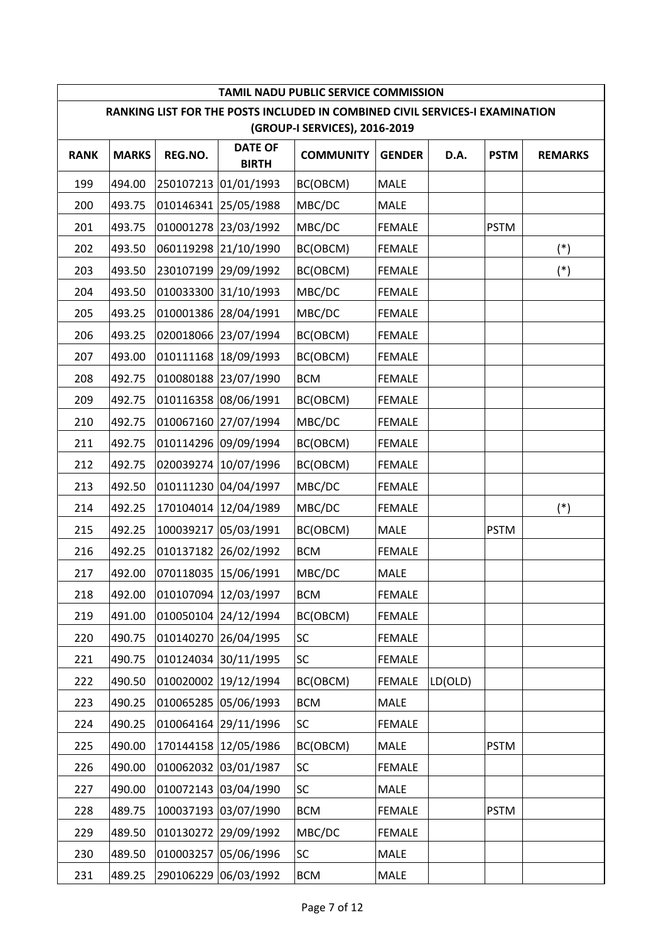|             |              |           |                                | TAMIL NADU PUBLIC SERVICE COMMISSION                                                                          |               |         |             |                |
|-------------|--------------|-----------|--------------------------------|---------------------------------------------------------------------------------------------------------------|---------------|---------|-------------|----------------|
|             |              |           |                                | RANKING LIST FOR THE POSTS INCLUDED IN COMBINED CIVIL SERVICES-I EXAMINATION<br>(GROUP-I SERVICES), 2016-2019 |               |         |             |                |
| <b>RANK</b> | <b>MARKS</b> | REG.NO.   | <b>DATE OF</b><br><b>BIRTH</b> | <b>COMMUNITY</b>                                                                                              | <b>GENDER</b> | D.A.    | <b>PSTM</b> | <b>REMARKS</b> |
| 199         | 494.00       | 250107213 | 01/01/1993                     | BC(OBCM)                                                                                                      | <b>MALE</b>   |         |             |                |
| 200         | 493.75       |           | 010146341 25/05/1988           | MBC/DC                                                                                                        | <b>MALE</b>   |         |             |                |
| 201         | 493.75       |           | 010001278 23/03/1992           | MBC/DC                                                                                                        | <b>FEMALE</b> |         | <b>PSTM</b> |                |
| 202         | 493.50       |           | 060119298 21/10/1990           | BC(OBCM)                                                                                                      | <b>FEMALE</b> |         |             | $(*)$          |
| 203         | 493.50       |           | 230107199 29/09/1992           | BC(OBCM)                                                                                                      | <b>FEMALE</b> |         |             | $(*)$          |
| 204         | 493.50       |           | 010033300 31/10/1993           | MBC/DC                                                                                                        | <b>FEMALE</b> |         |             |                |
| 205         | 493.25       |           | 010001386 28/04/1991           | MBC/DC                                                                                                        | <b>FEMALE</b> |         |             |                |
| 206         | 493.25       |           | 020018066 23/07/1994           | BC(OBCM)                                                                                                      | <b>FEMALE</b> |         |             |                |
| 207         | 493.00       |           | 010111168 18/09/1993           | BC(OBCM)                                                                                                      | <b>FEMALE</b> |         |             |                |
| 208         | 492.75       |           | 010080188 23/07/1990           | <b>BCM</b>                                                                                                    | <b>FEMALE</b> |         |             |                |
| 209         | 492.75       |           | 010116358 08/06/1991           | BC(OBCM)                                                                                                      | <b>FEMALE</b> |         |             |                |
| 210         | 492.75       |           | 010067160 27/07/1994           | MBC/DC                                                                                                        | <b>FEMALE</b> |         |             |                |
| 211         | 492.75       |           | 010114296 09/09/1994           | BC(OBCM)                                                                                                      | <b>FEMALE</b> |         |             |                |
| 212         | 492.75       | 020039274 | 10/07/1996                     | BC(OBCM)                                                                                                      | <b>FEMALE</b> |         |             |                |
| 213         | 492.50       |           | 010111230 04/04/1997           | MBC/DC                                                                                                        | <b>FEMALE</b> |         |             |                |
| 214         | 492.25       |           | 170104014 12/04/1989           | MBC/DC                                                                                                        | <b>FEMALE</b> |         |             | $(*)$          |
| 215         | 492.25       | 100039217 | 05/03/1991                     | BC(OBCM)                                                                                                      | MALE          |         | <b>PSTM</b> |                |
| 216         | 492.25       |           | 010137182 26/02/1992           | <b>BCM</b>                                                                                                    | <b>FEMALE</b> |         |             |                |
| 217         | 492.00       |           | 070118035 15/06/1991           | MBC/DC                                                                                                        | MALE          |         |             |                |
| 218         | 492.00       |           | 010107094 12/03/1997           | <b>BCM</b>                                                                                                    | <b>FEMALE</b> |         |             |                |
| 219         | 491.00       |           | 010050104 24/12/1994           | BC(OBCM)                                                                                                      | <b>FEMALE</b> |         |             |                |
| 220         | 490.75       |           | 010140270 26/04/1995           | SC                                                                                                            | <b>FEMALE</b> |         |             |                |
| 221         | 490.75       |           | 010124034 30/11/1995           | <b>SC</b>                                                                                                     | <b>FEMALE</b> |         |             |                |
| 222         | 490.50       |           | 010020002 19/12/1994           | BC(OBCM)                                                                                                      | <b>FEMALE</b> | LD(OLD) |             |                |
| 223         | 490.25       |           | 010065285 05/06/1993           | <b>BCM</b>                                                                                                    | MALE          |         |             |                |
| 224         | 490.25       |           | 010064164 29/11/1996           | <b>SC</b>                                                                                                     | <b>FEMALE</b> |         |             |                |
| 225         | 490.00       | 170144158 | 12/05/1986                     | BC(OBCM)                                                                                                      | MALE          |         | <b>PSTM</b> |                |
| 226         | 490.00       |           | 010062032 03/01/1987           | <b>SC</b>                                                                                                     | <b>FEMALE</b> |         |             |                |
| 227         | 490.00       |           | 010072143 03/04/1990           | SC                                                                                                            | MALE          |         |             |                |
| 228         | 489.75       |           | 100037193 03/07/1990           | <b>BCM</b>                                                                                                    | <b>FEMALE</b> |         | <b>PSTM</b> |                |
| 229         | 489.50       |           | 010130272 29/09/1992           | MBC/DC                                                                                                        | <b>FEMALE</b> |         |             |                |
| 230         | 489.50       | 010003257 | 05/06/1996                     | <b>SC</b>                                                                                                     | MALE          |         |             |                |
| 231         | 489.25       |           | 290106229 06/03/1992           | <b>BCM</b>                                                                                                    | MALE          |         |             |                |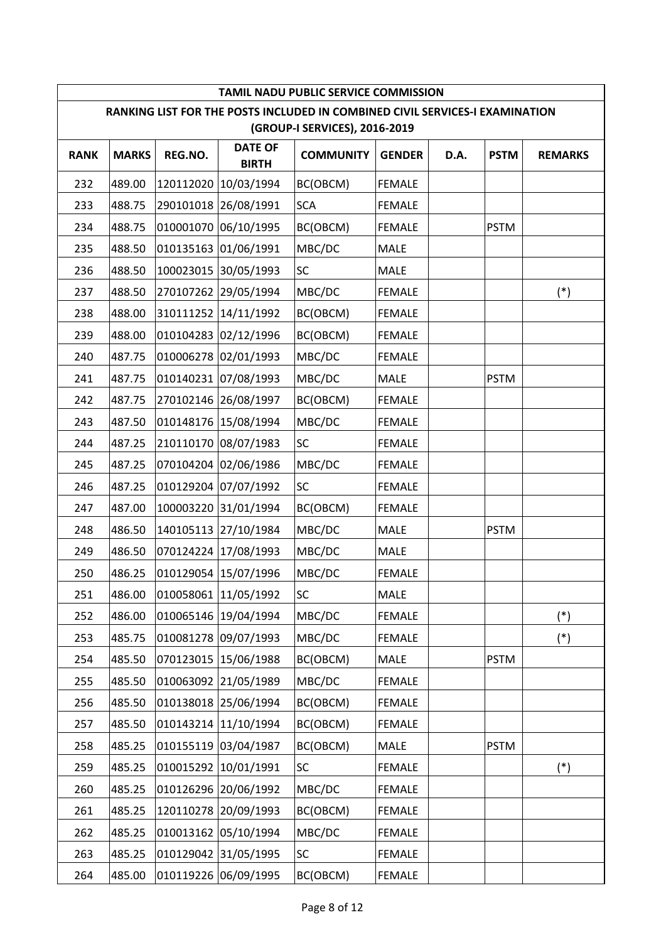|             |              |           |                                | TAMIL NADU PUBLIC SERVICE COMMISSION                                                                          |               |      |             |                |
|-------------|--------------|-----------|--------------------------------|---------------------------------------------------------------------------------------------------------------|---------------|------|-------------|----------------|
|             |              |           |                                | RANKING LIST FOR THE POSTS INCLUDED IN COMBINED CIVIL SERVICES-I EXAMINATION<br>(GROUP-I SERVICES), 2016-2019 |               |      |             |                |
| <b>RANK</b> | <b>MARKS</b> | REG.NO.   | <b>DATE OF</b><br><b>BIRTH</b> | <b>COMMUNITY</b>                                                                                              | <b>GENDER</b> | D.A. | <b>PSTM</b> | <b>REMARKS</b> |
| 232         | 489.00       | 120112020 | 10/03/1994                     | BC(OBCM)                                                                                                      | <b>FEMALE</b> |      |             |                |
| 233         | 488.75       |           | 290101018 26/08/1991           | <b>SCA</b>                                                                                                    | <b>FEMALE</b> |      |             |                |
| 234         | 488.75       |           | 010001070 06/10/1995           | BC(OBCM)                                                                                                      | <b>FEMALE</b> |      | <b>PSTM</b> |                |
| 235         | 488.50       |           | 010135163 01/06/1991           | MBC/DC                                                                                                        | MALE          |      |             |                |
| 236         | 488.50       | 100023015 | 30/05/1993                     | <b>SC</b>                                                                                                     | MALE          |      |             |                |
| 237         | 488.50       |           | 270107262 29/05/1994           | MBC/DC                                                                                                        | <b>FEMALE</b> |      |             | $(*)$          |
| 238         | 488.00       |           | 310111252 14/11/1992           | BC(OBCM)                                                                                                      | <b>FEMALE</b> |      |             |                |
| 239         | 488.00       |           | 010104283 02/12/1996           | BC(OBCM)                                                                                                      | <b>FEMALE</b> |      |             |                |
| 240         | 487.75       |           | 010006278 02/01/1993           | MBC/DC                                                                                                        | <b>FEMALE</b> |      |             |                |
| 241         | 487.75       |           | 010140231 07/08/1993           | MBC/DC                                                                                                        | MALE          |      | <b>PSTM</b> |                |
| 242         | 487.75       |           | 270102146 26/08/1997           | BC(OBCM)                                                                                                      | <b>FEMALE</b> |      |             |                |
| 243         | 487.50       |           | 010148176 15/08/1994           | MBC/DC                                                                                                        | <b>FEMALE</b> |      |             |                |
| 244         | 487.25       |           | 210110170 08/07/1983           | SC                                                                                                            | <b>FEMALE</b> |      |             |                |
| 245         | 487.25       |           | 070104204 02/06/1986           | MBC/DC                                                                                                        | <b>FEMALE</b> |      |             |                |
| 246         | 487.25       |           | 010129204 07/07/1992           | SC                                                                                                            | <b>FEMALE</b> |      |             |                |
| 247         | 487.00       |           | 100003220 31/01/1994           | BC(OBCM)                                                                                                      | <b>FEMALE</b> |      |             |                |
| 248         | 486.50       |           | 140105113 27/10/1984           | MBC/DC                                                                                                        | MALE          |      | <b>PSTM</b> |                |
| 249         | 486.50       |           | 070124224 17/08/1993           | MBC/DC                                                                                                        | MALE          |      |             |                |
| 250         | 486.25       |           | 010129054 15/07/1996           | MBC/DC                                                                                                        | <b>FEMALE</b> |      |             |                |
| 251         | 486.00       |           | 010058061 11/05/1992           | SC                                                                                                            | MALE          |      |             |                |
| 252         | 486.00       |           | 010065146 19/04/1994           | MBC/DC                                                                                                        | <b>FEMALE</b> |      |             | $(*)$          |
| 253         | 485.75       |           | 010081278 09/07/1993           | MBC/DC                                                                                                        | <b>FEMALE</b> |      |             | $(*)$          |
| 254         | 485.50       | 070123015 | 15/06/1988                     | BC(OBCM)                                                                                                      | MALE          |      | <b>PSTM</b> |                |
| 255         | 485.50       |           | 010063092 21/05/1989           | MBC/DC                                                                                                        | <b>FEMALE</b> |      |             |                |
| 256         | 485.50       |           | 010138018 25/06/1994           | BC(OBCM)                                                                                                      | <b>FEMALE</b> |      |             |                |
| 257         | 485.50       | 010143214 | 11/10/1994                     | BC(OBCM)                                                                                                      | <b>FEMALE</b> |      |             |                |
| 258         | 485.25       |           | 010155119 03/04/1987           | BC(OBCM)                                                                                                      | MALE          |      | <b>PSTM</b> |                |
| 259         | 485.25       | 010015292 | 10/01/1991                     | <b>SC</b>                                                                                                     | <b>FEMALE</b> |      |             | $(*)$          |
| 260         | 485.25       |           | 010126296 20/06/1992           | MBC/DC                                                                                                        | <b>FEMALE</b> |      |             |                |
| 261         | 485.25       |           | 120110278 20/09/1993           | BC(OBCM)                                                                                                      | <b>FEMALE</b> |      |             |                |
| 262         | 485.25       |           | 010013162 05/10/1994           | MBC/DC                                                                                                        | <b>FEMALE</b> |      |             |                |
| 263         | 485.25       |           | 010129042 31/05/1995           | SC                                                                                                            | <b>FEMALE</b> |      |             |                |
| 264         | 485.00       |           | 010119226 06/09/1995           | BC(OBCM)                                                                                                      | <b>FEMALE</b> |      |             |                |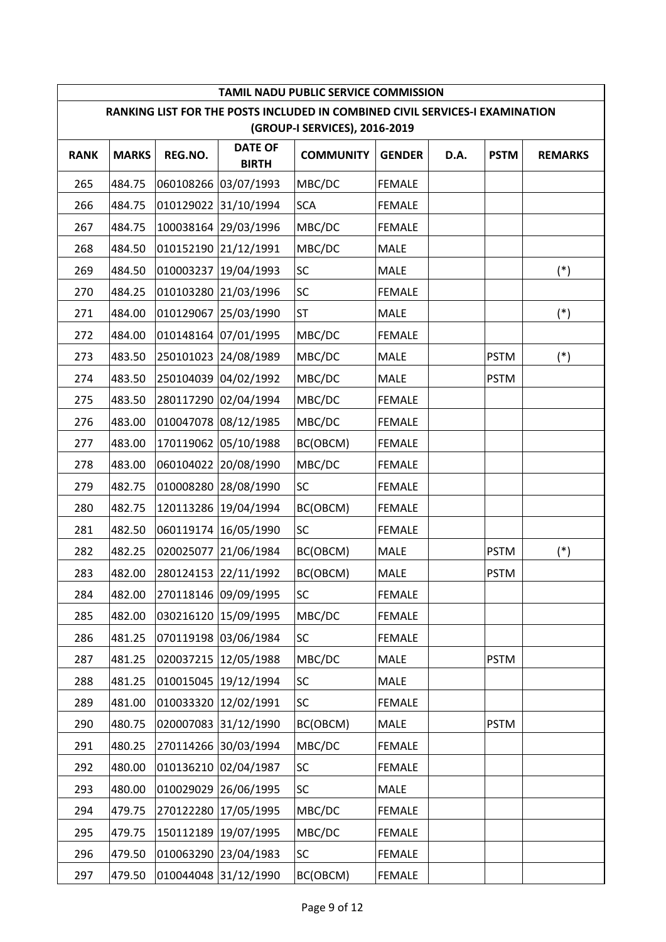|             |              |           |                                | TAMIL NADU PUBLIC SERVICE COMMISSION                                                                          |               |      |             |                |
|-------------|--------------|-----------|--------------------------------|---------------------------------------------------------------------------------------------------------------|---------------|------|-------------|----------------|
|             |              |           |                                | RANKING LIST FOR THE POSTS INCLUDED IN COMBINED CIVIL SERVICES-I EXAMINATION<br>(GROUP-I SERVICES), 2016-2019 |               |      |             |                |
| <b>RANK</b> | <b>MARKS</b> | REG.NO.   | <b>DATE OF</b><br><b>BIRTH</b> | <b>COMMUNITY</b>                                                                                              | <b>GENDER</b> | D.A. | <b>PSTM</b> | <b>REMARKS</b> |
| 265         | 484.75       | 060108266 | 03/07/1993                     | MBC/DC                                                                                                        | <b>FEMALE</b> |      |             |                |
| 266         | 484.75       |           | 010129022 31/10/1994           | <b>SCA</b>                                                                                                    | <b>FEMALE</b> |      |             |                |
| 267         | 484.75       |           | 100038164 29/03/1996           | MBC/DC                                                                                                        | <b>FEMALE</b> |      |             |                |
| 268         | 484.50       |           | 010152190 21/12/1991           | MBC/DC                                                                                                        | <b>MALE</b>   |      |             |                |
| 269         | 484.50       | 010003237 | 19/04/1993                     | <b>SC</b>                                                                                                     | MALE          |      |             | $(*)$          |
| 270         | 484.25       |           | 010103280 21/03/1996           | <b>SC</b>                                                                                                     | <b>FEMALE</b> |      |             |                |
| 271         | 484.00       |           | 010129067 25/03/1990           | <b>ST</b>                                                                                                     | MALE          |      |             | $(*)$          |
| 272         | 484.00       |           | 010148164 07/01/1995           | MBC/DC                                                                                                        | <b>FEMALE</b> |      |             |                |
| 273         | 483.50       |           | 250101023 24/08/1989           | MBC/DC                                                                                                        | <b>MALE</b>   |      | <b>PSTM</b> | $(*)$          |
| 274         | 483.50       |           | 250104039 04/02/1992           | MBC/DC                                                                                                        | MALE          |      | <b>PSTM</b> |                |
| 275         | 483.50       |           | 280117290 02/04/1994           | MBC/DC                                                                                                        | <b>FEMALE</b> |      |             |                |
| 276         | 483.00       | 010047078 | 08/12/1985                     | MBC/DC                                                                                                        | <b>FEMALE</b> |      |             |                |
| 277         | 483.00       |           | 170119062 05/10/1988           | BC(OBCM)                                                                                                      | <b>FEMALE</b> |      |             |                |
| 278         | 483.00       | 060104022 | 20/08/1990                     | MBC/DC                                                                                                        | <b>FEMALE</b> |      |             |                |
| 279         | 482.75       |           | 010008280 28/08/1990           | SC                                                                                                            | <b>FEMALE</b> |      |             |                |
| 280         | 482.75       |           | 120113286 19/04/1994           | BC(OBCM)                                                                                                      | <b>FEMALE</b> |      |             |                |
| 281         | 482.50       | 060119174 | 16/05/1990                     | <b>SC</b>                                                                                                     | <b>FEMALE</b> |      |             |                |
| 282         | 482.25       | 020025077 | 21/06/1984                     | BC(OBCM)                                                                                                      | MALE          |      | <b>PSTM</b> | $(*)$          |
| 283         | 482.00       |           | 280124153 22/11/1992           | BC(OBCM)                                                                                                      | MALE          |      | <b>PSTM</b> |                |
| 284         | 482.00       |           | 270118146 09/09/1995           | SC                                                                                                            | <b>FEMALE</b> |      |             |                |
| 285         | 482.00       |           | 030216120 15/09/1995           | MBC/DC                                                                                                        | <b>FEMALE</b> |      |             |                |
| 286         | 481.25       |           | 070119198 03/06/1984           | SC                                                                                                            | <b>FEMALE</b> |      |             |                |
| 287         | 481.25       | 020037215 | 12/05/1988                     | MBC/DC                                                                                                        | <b>MALE</b>   |      | <b>PSTM</b> |                |
| 288         | 481.25       | 010015045 | 19/12/1994                     | <b>SC</b>                                                                                                     | MALE          |      |             |                |
| 289         | 481.00       |           | 010033320 12/02/1991           | SC                                                                                                            | <b>FEMALE</b> |      |             |                |
| 290         | 480.75       |           | 020007083 31/12/1990           | BC(OBCM)                                                                                                      | MALE          |      | <b>PSTM</b> |                |
| 291         | 480.25       |           | 270114266 30/03/1994           | MBC/DC                                                                                                        | <b>FEMALE</b> |      |             |                |
| 292         | 480.00       |           | 010136210 02/04/1987           | <b>SC</b>                                                                                                     | <b>FEMALE</b> |      |             |                |
| 293         | 480.00       |           | 010029029 26/06/1995           | <b>SC</b>                                                                                                     | MALE          |      |             |                |
| 294         | 479.75       |           | 270122280 17/05/1995           | MBC/DC                                                                                                        | <b>FEMALE</b> |      |             |                |
| 295         | 479.75       |           | 150112189 19/07/1995           | MBC/DC                                                                                                        | <b>FEMALE</b> |      |             |                |
| 296         | 479.50       |           | 010063290 23/04/1983           | SC                                                                                                            | <b>FEMALE</b> |      |             |                |
| 297         | 479.50       |           | 010044048 31/12/1990           | BC(OBCM)                                                                                                      | <b>FEMALE</b> |      |             |                |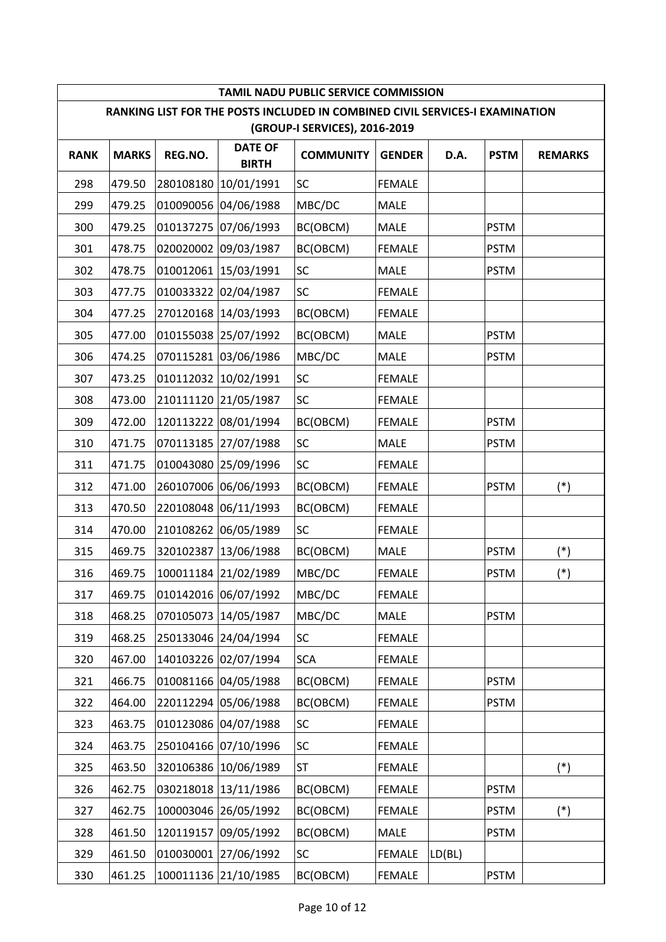|             |              |           |                                | TAMIL NADU PUBLIC SERVICE COMMISSION                                                                          |               |        |             |                |
|-------------|--------------|-----------|--------------------------------|---------------------------------------------------------------------------------------------------------------|---------------|--------|-------------|----------------|
|             |              |           |                                | RANKING LIST FOR THE POSTS INCLUDED IN COMBINED CIVIL SERVICES-I EXAMINATION<br>(GROUP-I SERVICES), 2016-2019 |               |        |             |                |
| <b>RANK</b> | <b>MARKS</b> | REG.NO.   | <b>DATE OF</b><br><b>BIRTH</b> | <b>COMMUNITY</b>                                                                                              | <b>GENDER</b> | D.A.   | <b>PSTM</b> | <b>REMARKS</b> |
| 298         | 479.50       | 280108180 | 10/01/1991                     | <b>SC</b>                                                                                                     | <b>FEMALE</b> |        |             |                |
| 299         | 479.25       |           | 010090056 04/06/1988           | MBC/DC                                                                                                        | <b>MALE</b>   |        |             |                |
| 300         | 479.25       |           | 010137275 07/06/1993           | BC(OBCM)                                                                                                      | <b>MALE</b>   |        | <b>PSTM</b> |                |
| 301         | 478.75       |           | 020020002 09/03/1987           | BC(OBCM)                                                                                                      | <b>FEMALE</b> |        | <b>PSTM</b> |                |
| 302         | 478.75       | 010012061 | 15/03/1991                     | <b>SC</b>                                                                                                     | MALE          |        | <b>PSTM</b> |                |
| 303         | 477.75       |           | 010033322 02/04/1987           | <b>SC</b>                                                                                                     | <b>FEMALE</b> |        |             |                |
| 304         | 477.25       |           | 270120168 14/03/1993           | BC(OBCM)                                                                                                      | <b>FEMALE</b> |        |             |                |
| 305         | 477.00       |           | 010155038 25/07/1992           | BC(OBCM)                                                                                                      | <b>MALE</b>   |        | <b>PSTM</b> |                |
| 306         | 474.25       |           | 070115281 03/06/1986           | MBC/DC                                                                                                        | <b>MALE</b>   |        | <b>PSTM</b> |                |
| 307         | 473.25       | 010112032 | 10/02/1991                     | <b>SC</b>                                                                                                     | <b>FEMALE</b> |        |             |                |
| 308         | 473.00       |           | 210111120 21/05/1987           | SC                                                                                                            | <b>FEMALE</b> |        |             |                |
| 309         | 472.00       | 120113222 | 08/01/1994                     | BC(OBCM)                                                                                                      | <b>FEMALE</b> |        | <b>PSTM</b> |                |
| 310         | 471.75       |           | 070113185 27/07/1988           | SC                                                                                                            | <b>MALE</b>   |        | <b>PSTM</b> |                |
| 311         | 471.75       | 010043080 | 25/09/1996                     | SC                                                                                                            | <b>FEMALE</b> |        |             |                |
| 312         | 471.00       |           | 260107006 06/06/1993           | BC(OBCM)                                                                                                      | <b>FEMALE</b> |        | <b>PSTM</b> | $(*)$          |
| 313         | 470.50       |           | 220108048 06/11/1993           | BC(OBCM)                                                                                                      | <b>FEMALE</b> |        |             |                |
| 314         | 470.00       | 210108262 | 06/05/1989                     | <b>SC</b>                                                                                                     | <b>FEMALE</b> |        |             |                |
| 315         | 469.75       | 320102387 | 13/06/1988                     | BC(OBCM)                                                                                                      | <b>MALE</b>   |        | <b>PSTM</b> | $(*)$          |
| 316         | 469.75       |           | 100011184 21/02/1989           | MBC/DC                                                                                                        | <b>FEMALE</b> |        | <b>PSTM</b> | $(*)$          |
| 317         | 469.75       |           | 010142016 06/07/1992           | MBC/DC                                                                                                        | <b>FEMALE</b> |        |             |                |
| 318         | 468.25       | 070105073 | 14/05/1987                     | MBC/DC                                                                                                        | MALE          |        | <b>PSTM</b> |                |
| 319         | 468.25       |           | 250133046 24/04/1994           | SC                                                                                                            | <b>FEMALE</b> |        |             |                |
| 320         | 467.00       |           | 140103226 02/07/1994           | <b>SCA</b>                                                                                                    | <b>FEMALE</b> |        |             |                |
| 321         | 466.75       |           | 010081166 04/05/1988           | BC(OBCM)                                                                                                      | <b>FEMALE</b> |        | <b>PSTM</b> |                |
| 322         | 464.00       |           | 220112294 05/06/1988           | BC(OBCM)                                                                                                      | <b>FEMALE</b> |        | <b>PSTM</b> |                |
| 323         | 463.75       | 010123086 | 04/07/1988                     | <b>SC</b>                                                                                                     | <b>FEMALE</b> |        |             |                |
| 324         | 463.75       |           | 250104166 07/10/1996           | SC                                                                                                            | <b>FEMALE</b> |        |             |                |
| 325         | 463.50       | 320106386 | 10/06/1989                     | <b>ST</b>                                                                                                     | <b>FEMALE</b> |        |             | $(*)$          |
| 326         | 462.75       |           | 030218018 13/11/1986           | BC(OBCM)                                                                                                      | <b>FEMALE</b> |        | <b>PSTM</b> |                |
| 327         | 462.75       |           | 100003046 26/05/1992           | BC(OBCM)                                                                                                      | <b>FEMALE</b> |        | <b>PSTM</b> | $(*)$          |
| 328         | 461.50       | 120119157 | 09/05/1992                     | BC(OBCM)                                                                                                      | MALE          |        | <b>PSTM</b> |                |
| 329         | 461.50       |           | 010030001 27/06/1992           | SC                                                                                                            | <b>FEMALE</b> | LD(BL) |             |                |
| 330         | 461.25       |           | 100011136 21/10/1985           | BC(OBCM)                                                                                                      | <b>FEMALE</b> |        | <b>PSTM</b> |                |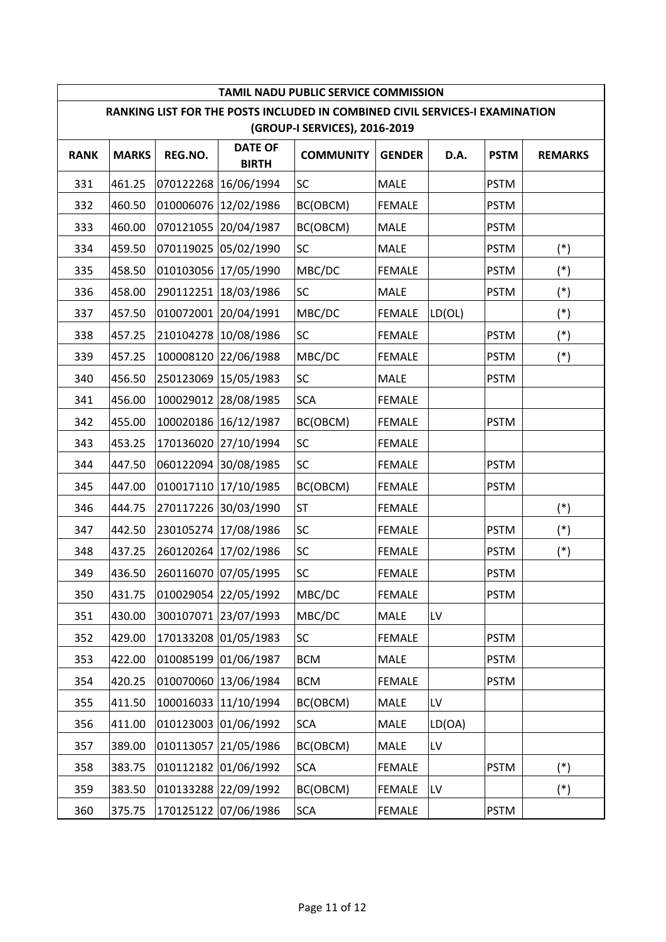|             |              |           |                                | TAMIL NADU PUBLIC SERVICE COMMISSION                                         |               |        |             |                |
|-------------|--------------|-----------|--------------------------------|------------------------------------------------------------------------------|---------------|--------|-------------|----------------|
|             |              |           |                                | RANKING LIST FOR THE POSTS INCLUDED IN COMBINED CIVIL SERVICES-I EXAMINATION |               |        |             |                |
|             |              |           |                                | (GROUP-I SERVICES), 2016-2019                                                |               |        |             |                |
| <b>RANK</b> | <b>MARKS</b> | REG.NO.   | <b>DATE OF</b><br><b>BIRTH</b> | <b>COMMUNITY</b>                                                             | <b>GENDER</b> | D.A.   | <b>PSTM</b> | <b>REMARKS</b> |
| 331         | 461.25       | 070122268 | 16/06/1994                     | <b>SC</b>                                                                    | <b>MALE</b>   |        | <b>PSTM</b> |                |
| 332         | 460.50       | 010006076 | 12/02/1986                     | BC(OBCM)                                                                     | <b>FEMALE</b> |        | <b>PSTM</b> |                |
| 333         | 460.00       |           | 070121055 20/04/1987           | BC(OBCM)                                                                     | <b>MALE</b>   |        | <b>PSTM</b> |                |
| 334         | 459.50       | 070119025 | 05/02/1990                     | <b>SC</b>                                                                    | <b>MALE</b>   |        | <b>PSTM</b> | $(*)$          |
| 335         | 458.50       |           | 010103056 17/05/1990           | MBC/DC                                                                       | <b>FEMALE</b> |        | <b>PSTM</b> | $(*)$          |
| 336         | 458.00       |           | 290112251 18/03/1986           | SC                                                                           | <b>MALE</b>   |        | <b>PSTM</b> | $(*)$          |
| 337         | 457.50       |           | 010072001 20/04/1991           | MBC/DC                                                                       | <b>FEMALE</b> | LD(OL) |             | $(*)$          |
| 338         | 457.25       |           | 210104278 10/08/1986           | SC                                                                           | <b>FEMALE</b> |        | <b>PSTM</b> | $(*)$          |
| 339         | 457.25       |           | 100008120 22/06/1988           | MBC/DC                                                                       | <b>FEMALE</b> |        | <b>PSTM</b> | $(*)$          |
| 340         | 456.50       |           | 250123069 15/05/1983           | SC                                                                           | MALE          |        | <b>PSTM</b> |                |
| 341         | 456.00       |           | 100029012 28/08/1985           | <b>SCA</b>                                                                   | <b>FEMALE</b> |        |             |                |
| 342         | 455.00       |           | 100020186 16/12/1987           | BC(OBCM)                                                                     | <b>FEMALE</b> |        | <b>PSTM</b> |                |
| 343         | 453.25       |           | 170136020 27/10/1994           | <b>SC</b>                                                                    | <b>FEMALE</b> |        |             |                |
| 344         | 447.50       |           | 060122094 30/08/1985           | SC                                                                           | <b>FEMALE</b> |        | <b>PSTM</b> |                |
| 345         | 447.00       |           | 010017110 17/10/1985           | BC(OBCM)                                                                     | <b>FEMALE</b> |        | <b>PSTM</b> |                |
| 346         | 444.75       |           | 270117226 30/03/1990           | <b>ST</b>                                                                    | <b>FEMALE</b> |        |             | $(*)$          |
| 347         | 442.50       | 230105274 | 17/08/1986                     | SC                                                                           | <b>FEMALE</b> |        | <b>PSTM</b> | $(*)$          |
| 348         | 437.25       |           | 260120264 17/02/1986           | SC                                                                           | <b>FEMALE</b> |        | <b>PSTM</b> | $(*)$          |
| 349         | 436.50       |           | 260116070 07/05/1995           | SC                                                                           | <b>FEMALE</b> |        | <b>PSTM</b> |                |
| 350         | 431.75       |           | 010029054 22/05/1992           | MBC/DC                                                                       | <b>FEMALE</b> |        | <b>PSTM</b> |                |
| 351         | 430.00       |           | 300107071 23/07/1993           | MBC/DC                                                                       | MALE          | LV     |             |                |
| 352         | 429.00       |           | 170133208 01/05/1983           | SC                                                                           | <b>FEMALE</b> |        | <b>PSTM</b> |                |
| 353         | 422.00       | 010085199 | 01/06/1987                     | <b>BCM</b>                                                                   | MALE          |        | <b>PSTM</b> |                |
| 354         | 420.25       |           | 010070060 13/06/1984           | <b>BCM</b>                                                                   | <b>FEMALE</b> |        | <b>PSTM</b> |                |
| 355         | 411.50       |           | 100016033 11/10/1994           | BC(OBCM)                                                                     | MALE          | LV     |             |                |
| 356         | 411.00       |           | 010123003 01/06/1992           | <b>SCA</b>                                                                   | MALE          | LD(OA) |             |                |
| 357         | 389.00       | 010113057 | 21/05/1986                     | BC(OBCM)                                                                     | MALE          | LV     |             |                |
| 358         | 383.75       |           | 010112182 01/06/1992           | <b>SCA</b>                                                                   | <b>FEMALE</b> |        | <b>PSTM</b> | $(*)$          |
| 359         | 383.50       |           | 010133288 22/09/1992           | BC(OBCM)                                                                     | <b>FEMALE</b> | LV     |             | $(*)$          |
| 360         | 375.75       |           | 170125122 07/06/1986           | <b>SCA</b>                                                                   | <b>FEMALE</b> |        | <b>PSTM</b> |                |